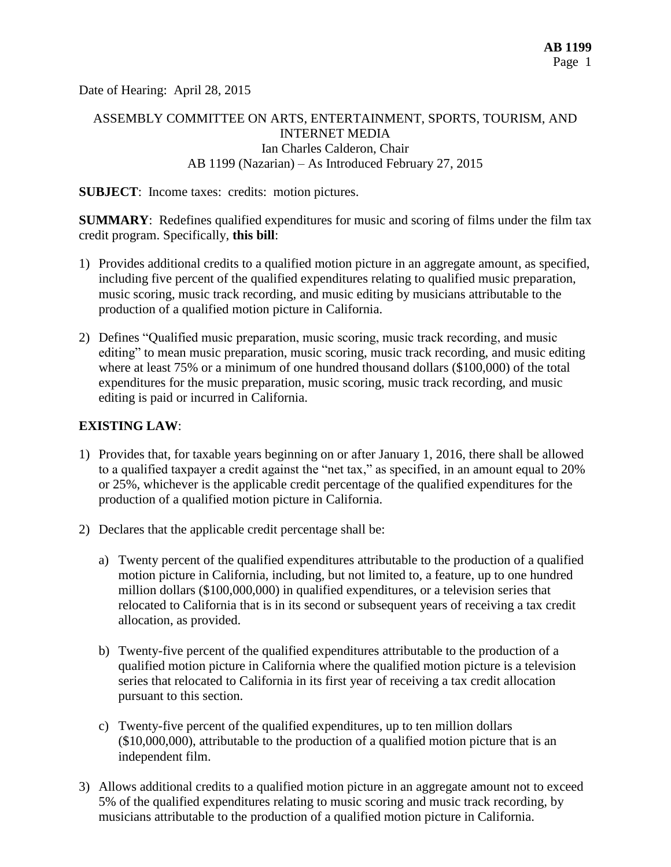Date of Hearing: April 28, 2015

# ASSEMBLY COMMITTEE ON ARTS, ENTERTAINMENT, SPORTS, TOURISM, AND INTERNET MEDIA Ian Charles Calderon, Chair AB 1199 (Nazarian) – As Introduced February 27, 2015

**SUBJECT**: Income taxes: credits: motion pictures.

**SUMMARY:** Redefines qualified expenditures for music and scoring of films under the film tax credit program. Specifically, **this bill**:

- 1) Provides additional credits to a qualified motion picture in an aggregate amount, as specified, including five percent of the qualified expenditures relating to qualified music preparation, music scoring, music track recording, and music editing by musicians attributable to the production of a qualified motion picture in California.
- 2) Defines "Qualified music preparation, music scoring, music track recording, and music editing" to mean music preparation, music scoring, music track recording, and music editing where at least 75% or a minimum of one hundred thousand dollars (\$100,000) of the total expenditures for the music preparation, music scoring, music track recording, and music editing is paid or incurred in California.

### **EXISTING LAW**:

- 1) Provides that, for taxable years beginning on or after January 1, 2016, there shall be allowed to a qualified taxpayer a credit against the "net tax," as specified, in an amount equal to 20% or 25%, whichever is the applicable credit percentage of the qualified expenditures for the production of a qualified motion picture in California.
- 2) Declares that the applicable credit percentage shall be:
	- a) Twenty percent of the qualified expenditures attributable to the production of a qualified motion picture in California, including, but not limited to, a feature, up to one hundred million dollars (\$100,000,000) in qualified expenditures, or a television series that relocated to California that is in its second or subsequent years of receiving a tax credit allocation, as provided.
	- b) Twenty-five percent of the qualified expenditures attributable to the production of a qualified motion picture in California where the qualified motion picture is a television series that relocated to California in its first year of receiving a tax credit allocation pursuant to this section.
	- c) Twenty-five percent of the qualified expenditures, up to ten million dollars (\$10,000,000), attributable to the production of a qualified motion picture that is an independent film.
- 3) Allows additional credits to a qualified motion picture in an aggregate amount not to exceed 5% of the qualified expenditures relating to music scoring and music track recording*,* by musicians attributable to the production of a qualified motion picture in California.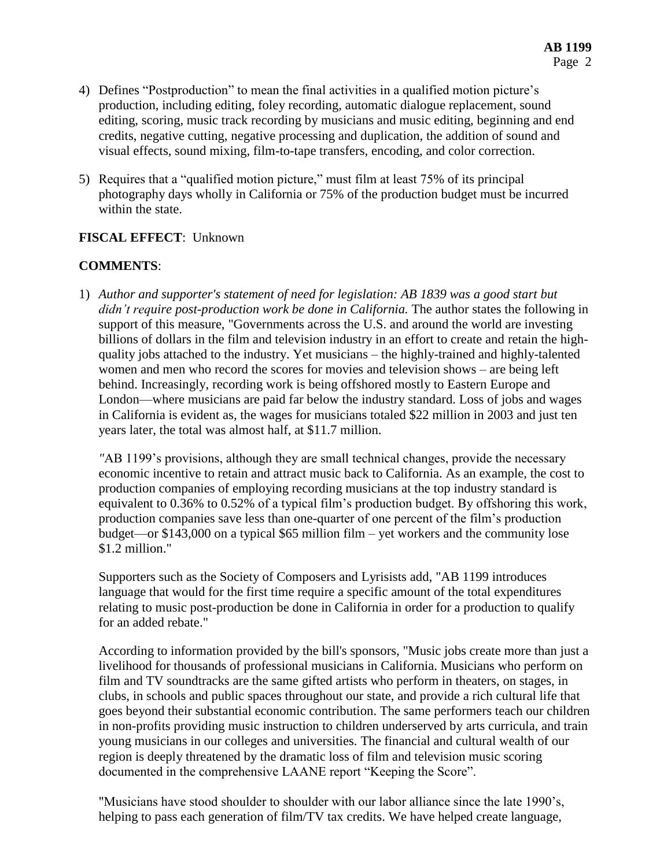- 4) Defines "Postproduction" to mean the final activities in a qualified motion picture's production, including editing, foley recording, automatic dialogue replacement, sound editing, scoring, music track recording by musicians and music editing, beginning and end credits, negative cutting, negative processing and duplication, the addition of sound and visual effects, sound mixing, film-to-tape transfers, encoding, and color correction.
- 5) Requires that a "qualified motion picture," must film at least 75% of its principal photography days wholly in California or 75% of the production budget must be incurred within the state.

## **FISCAL EFFECT**: Unknown

## **COMMENTS**:

1) *Author and supporter's statement of need for legislation: AB 1839 was a good start but didn't require post-production work be done in California.* The author states the following in support of this measure, "Governments across the U.S. and around the world are investing billions of dollars in the film and television industry in an effort to create and retain the highquality jobs attached to the industry. Yet musicians – the highly-trained and highly-talented women and men who record the scores for movies and television shows – are being left behind. Increasingly, recording work is being offshored mostly to Eastern Europe and London—where musicians are paid far below the industry standard. Loss of jobs and wages in California is evident as, the wages for musicians totaled \$22 million in 2003 and just ten years later, the total was almost half, at \$11.7 million.

*"*AB 1199's provisions, although they are small technical changes, provide the necessary economic incentive to retain and attract music back to California. As an example, the cost to production companies of employing recording musicians at the top industry standard is equivalent to 0.36% to 0.52% of a typical film's production budget. By offshoring this work, production companies save less than one-quarter of one percent of the film's production budget—or \$143,000 on a typical \$65 million film – yet workers and the community lose \$1.2 million."

Supporters such as the Society of Composers and Lyrisists add, "AB 1199 introduces language that would for the first time require a specific amount of the total expenditures relating to music post-production be done in California in order for a production to qualify for an added rebate."

According to information provided by the bill's sponsors, "Music jobs create more than just a livelihood for thousands of professional musicians in California. Musicians who perform on film and TV soundtracks are the same gifted artists who perform in theaters, on stages, in clubs, in schools and public spaces throughout our state, and provide a rich cultural life that goes beyond their substantial economic contribution. The same performers teach our children in non-profits providing music instruction to children underserved by arts curricula, and train young musicians in our colleges and universities. The financial and cultural wealth of our region is deeply threatened by the dramatic loss of film and television music scoring documented in the comprehensive LAANE report "Keeping the Score".

"Musicians have stood shoulder to shoulder with our labor alliance since the late 1990's, helping to pass each generation of film/TV tax credits. We have helped create language,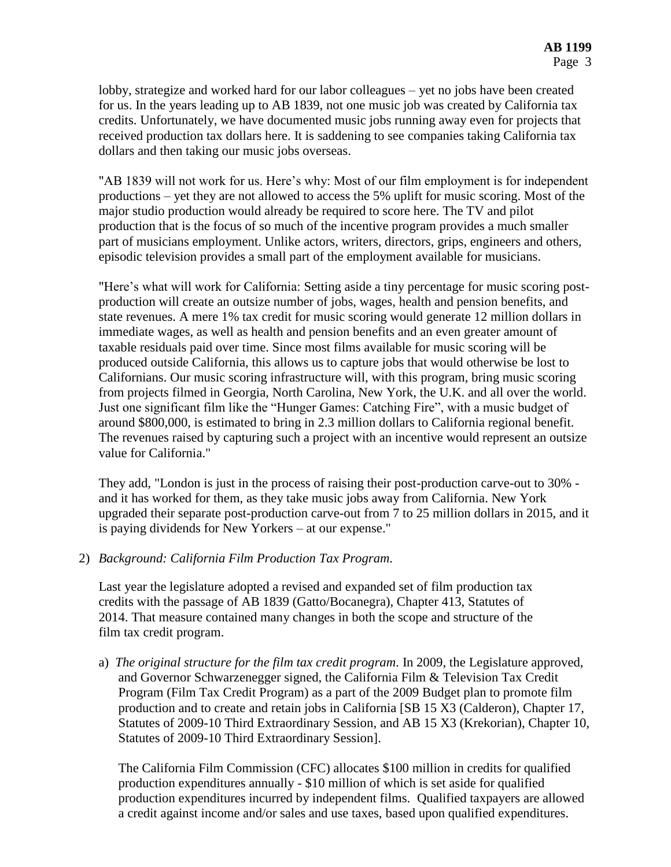lobby, strategize and worked hard for our labor colleagues – yet no jobs have been created for us. In the years leading up to AB 1839, not one music job was created by California tax credits. Unfortunately, we have documented music jobs running away even for projects that received production tax dollars here. It is saddening to see companies taking California tax dollars and then taking our music jobs overseas.

"AB 1839 will not work for us. Here's why: Most of our film employment is for independent productions – yet they are not allowed to access the 5% uplift for music scoring. Most of the major studio production would already be required to score here. The TV and pilot production that is the focus of so much of the incentive program provides a much smaller part of musicians employment. Unlike actors, writers, directors, grips, engineers and others, episodic television provides a small part of the employment available for musicians.

"Here's what will work for California: Setting aside a tiny percentage for music scoring postproduction will create an outsize number of jobs, wages, health and pension benefits, and state revenues. A mere 1% tax credit for music scoring would generate 12 million dollars in immediate wages, as well as health and pension benefits and an even greater amount of taxable residuals paid over time. Since most films available for music scoring will be produced outside California, this allows us to capture jobs that would otherwise be lost to Californians. Our music scoring infrastructure will, with this program, bring music scoring from projects filmed in Georgia, North Carolina, New York, the U.K. and all over the world. Just one significant film like the "Hunger Games: Catching Fire", with a music budget of around \$800,000, is estimated to bring in 2.3 million dollars to California regional benefit. The revenues raised by capturing such a project with an incentive would represent an outsize value for California."

They add, "London is just in the process of raising their post-production carve-out to 30% and it has worked for them, as they take music jobs away from California. New York upgraded their separate post-production carve-out from 7 to 25 million dollars in 2015, and it is paying dividends for New Yorkers – at our expense."

2) *Background: California Film Production Tax Program.*

Last year the legislature adopted a revised and expanded set of film production tax credits with the passage of AB 1839 (Gatto/Bocanegra), Chapter 413, Statutes of 2014. That measure contained many changes in both the scope and structure of the film tax credit program.

a) *The original structure for the film tax credit program*. In 2009, the Legislature approved, and Governor Schwarzenegger signed, the California Film & Television Tax Credit Program (Film Tax Credit Program) as a part of the 2009 Budget plan to promote film production and to create and retain jobs in California [SB 15 X3 (Calderon), Chapter 17, Statutes of 2009-10 Third Extraordinary Session, and AB 15 X3 (Krekorian), Chapter 10, Statutes of 2009-10 Third Extraordinary Session].

The California Film Commission (CFC) allocates \$100 million in credits for qualified production expenditures annually - \$10 million of which is set aside for qualified production expenditures incurred by independent films. Qualified taxpayers are allowed a credit against income and/or sales and use taxes, based upon qualified expenditures.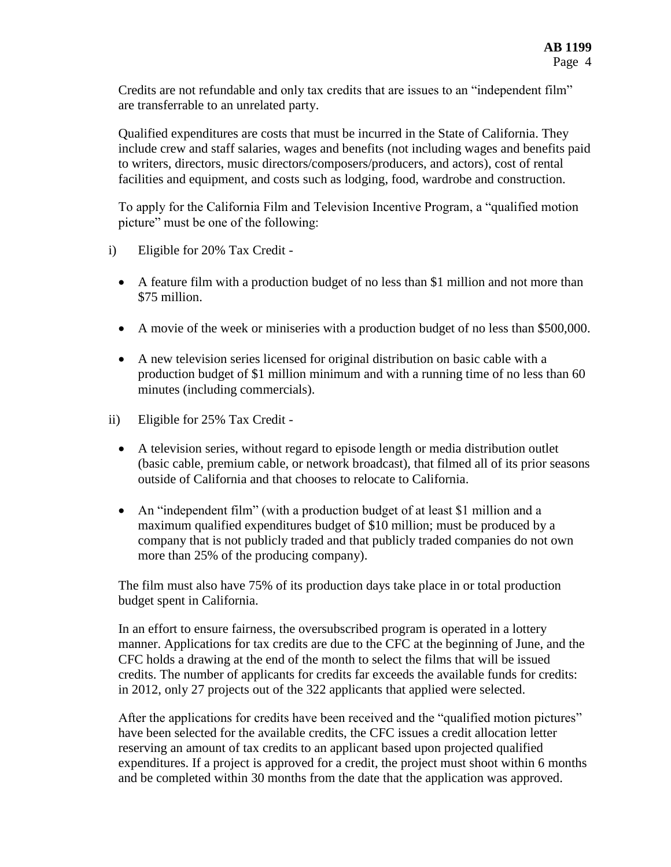Credits are not refundable and only tax credits that are issues to an "independent film" are transferrable to an unrelated party.

Qualified expenditures are costs that must be incurred in the State of California. They include crew and staff salaries, wages and benefits (not including wages and benefits paid to writers, directors, music directors/composers/producers, and actors), cost of rental facilities and equipment, and costs such as lodging, food, wardrobe and construction.

To apply for the California Film and Television Incentive Program, a "qualified motion picture" must be one of the following:

- i) Eligible for 20% Tax Credit
	- A feature film with a production budget of no less than \$1 million and not more than \$75 million.
	- A movie of the week or miniseries with a production budget of no less than \$500,000.
	- A new television series licensed for original distribution on basic cable with a production budget of \$1 million minimum and with a running time of no less than 60 minutes (including commercials).
- ii) Eligible for 25% Tax Credit
	- A television series, without regard to episode length or media distribution outlet (basic cable, premium cable, or network broadcast), that filmed all of its prior seasons outside of California and that chooses to relocate to California.
	- An "independent film" (with a production budget of at least \$1 million and a maximum qualified expenditures budget of \$10 million; must be produced by a company that is not publicly traded and that publicly traded companies do not own more than 25% of the producing company).

The film must also have 75% of its production days take place in or total production budget spent in California.

In an effort to ensure fairness, the oversubscribed program is operated in a lottery manner. Applications for tax credits are due to the CFC at the beginning of June, and the CFC holds a drawing at the end of the month to select the films that will be issued credits. The number of applicants for credits far exceeds the available funds for credits: in 2012, only 27 projects out of the 322 applicants that applied were selected.

After the applications for credits have been received and the "qualified motion pictures" have been selected for the available credits, the CFC issues a credit allocation letter reserving an amount of tax credits to an applicant based upon projected qualified expenditures. If a project is approved for a credit, the project must shoot within 6 months and be completed within 30 months from the date that the application was approved.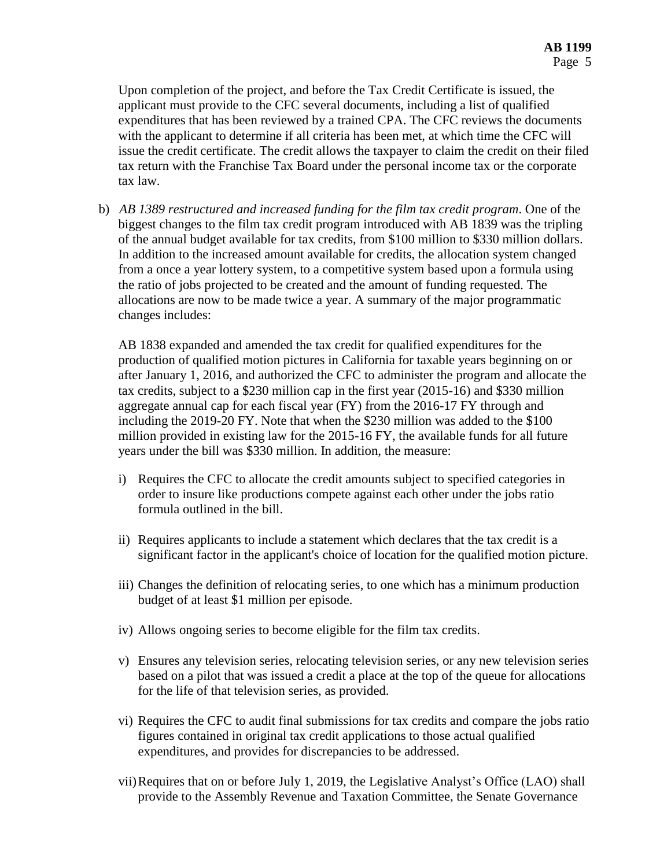Upon completion of the project, and before the Tax Credit Certificate is issued, the applicant must provide to the CFC several documents, including a list of qualified expenditures that has been reviewed by a trained CPA. The CFC reviews the documents with the applicant to determine if all criteria has been met, at which time the CFC will issue the credit certificate. The credit allows the taxpayer to claim the credit on their filed tax return with the Franchise Tax Board under the personal income tax or the corporate tax law.

b) *AB 1389 restructured and increased funding for the film tax credit program*. One of the biggest changes to the film tax credit program introduced with AB 1839 was the tripling of the annual budget available for tax credits, from \$100 million to \$330 million dollars. In addition to the increased amount available for credits, the allocation system changed from a once a year lottery system, to a competitive system based upon a formula using the ratio of jobs projected to be created and the amount of funding requested. The allocations are now to be made twice a year. A summary of the major programmatic changes includes:

AB 1838 expanded and amended the tax credit for qualified expenditures for the production of qualified motion pictures in California for taxable years beginning on or after January 1, 2016, and authorized the CFC to administer the program and allocate the tax credits, subject to a \$230 million cap in the first year (2015-16) and \$330 million aggregate annual cap for each fiscal year (FY) from the 2016-17 FY through and including the 2019-20 FY. Note that when the \$230 million was added to the \$100 million provided in existing law for the 2015-16 FY, the available funds for all future years under the bill was \$330 million. In addition, the measure:

- i) Requires the CFC to allocate the credit amounts subject to specified categories in order to insure like productions compete against each other under the jobs ratio formula outlined in the bill.
- ii) Requires applicants to include a statement which declares that the tax credit is a significant factor in the applicant's choice of location for the qualified motion picture.
- iii) Changes the definition of relocating series, to one which has a minimum production budget of at least \$1 million per episode.
- iv) Allows ongoing series to become eligible for the film tax credits.
- v) Ensures any television series, relocating television series, or any new television series based on a pilot that was issued a credit a place at the top of the queue for allocations for the life of that television series, as provided.
- vi) Requires the CFC to audit final submissions for tax credits and compare the jobs ratio figures contained in original tax credit applications to those actual qualified expenditures, and provides for discrepancies to be addressed.
- vii)Requires that on or before July 1, 2019, the Legislative Analyst's Office (LAO) shall provide to the Assembly Revenue and Taxation Committee, the Senate Governance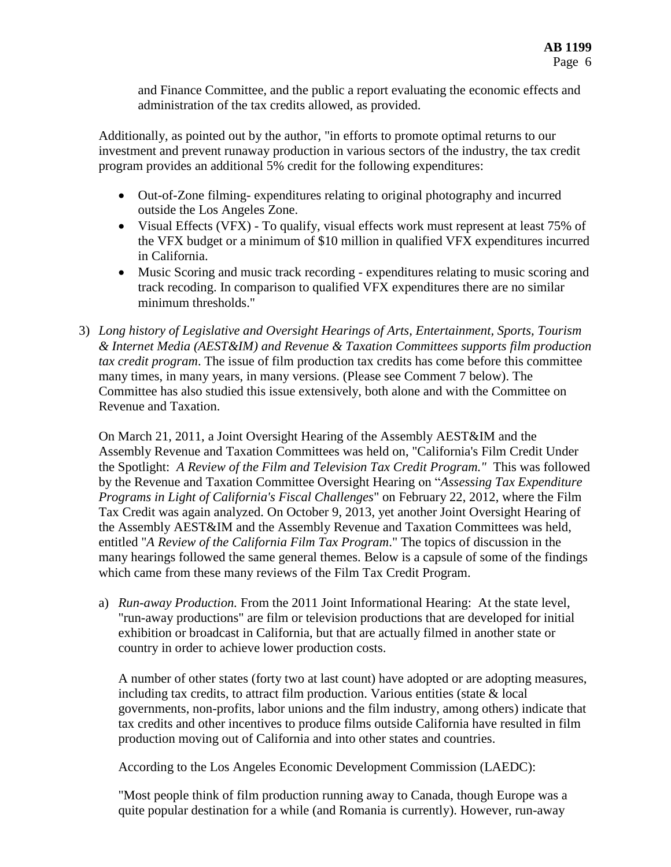and Finance Committee, and the public a report evaluating the economic effects and administration of the tax credits allowed, as provided.

Additionally, as pointed out by the author, "in efforts to promote optimal returns to our investment and prevent runaway production in various sectors of the industry, the tax credit program provides an additional 5% credit for the following expenditures:

- Out-of-Zone filming- expenditures relating to original photography and incurred outside the Los Angeles Zone.
- Visual Effects (VFX) To qualify, visual effects work must represent at least 75% of the VFX budget or a minimum of \$10 million in qualified VFX expenditures incurred in California.
- Music Scoring and music track recording expenditures relating to music scoring and track recoding. In comparison to qualified VFX expenditures there are no similar minimum thresholds."
- 3) *Long history of Legislative and Oversight Hearings of Arts, Entertainment, Sports, Tourism & Internet Media (AEST&IM) and Revenue & Taxation Committees supports film production tax credit program*. The issue of film production tax credits has come before this committee many times, in many years, in many versions. (Please see Comment 7 below). The Committee has also studied this issue extensively, both alone and with the Committee on Revenue and Taxation.

On March 21, 2011, a Joint Oversight Hearing of the Assembly AEST&IM and the Assembly Revenue and Taxation Committees was held on, "California's Film Credit Under the Spotlight: *A Review of the Film and Television Tax Credit Program."* This was followed by the Revenue and Taxation Committee Oversight Hearing on "*Assessing Tax Expenditure Programs in Light of California's Fiscal Challenges*" on February 22, 2012, where the Film Tax Credit was again analyzed. On October 9, 2013, yet another Joint Oversight Hearing of the Assembly AEST&IM and the Assembly Revenue and Taxation Committees was held, entitled "*A Review of the California Film Tax Program*." The topics of discussion in the many hearings followed the same general themes. Below is a capsule of some of the findings which came from these many reviews of the Film Tax Credit Program.

a) *Run-away Production.* From the 2011 Joint Informational Hearing: At the state level, "run-away productions" are film or television productions that are developed for initial exhibition or broadcast in California, but that are actually filmed in another state or country in order to achieve lower production costs.

A number of other states (forty two at last count) have adopted or are adopting measures, including tax credits, to attract film production. Various entities (state & local governments, non-profits, labor unions and the film industry, among others) indicate that tax credits and other incentives to produce films outside California have resulted in film production moving out of California and into other states and countries.

According to the Los Angeles Economic Development Commission (LAEDC):

"Most people think of film production running away to Canada, though Europe was a quite popular destination for a while (and Romania is currently). However, run-away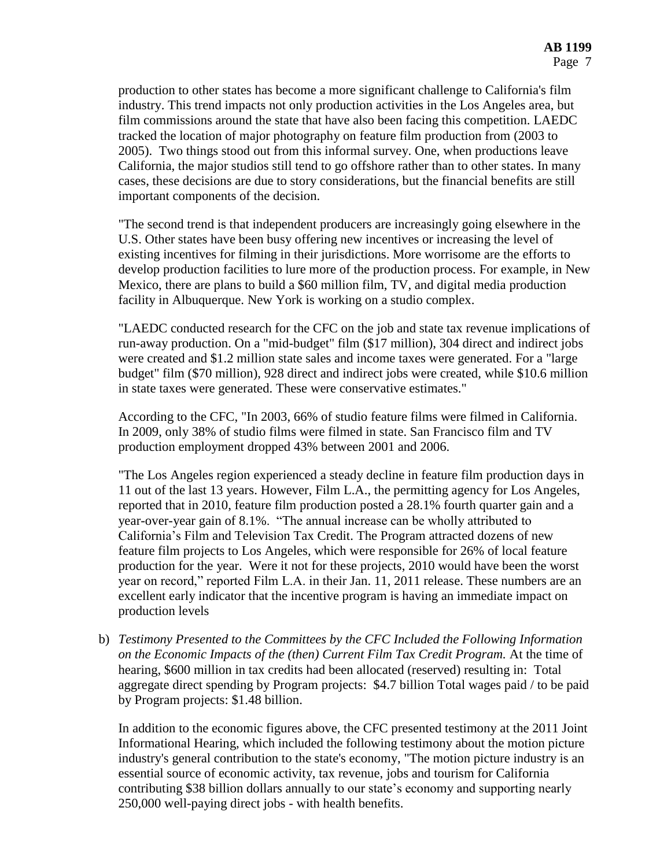production to other states has become a more significant challenge to California's film industry. This trend impacts not only production activities in the Los Angeles area, but film commissions around the state that have also been facing this competition. LAEDC tracked the location of major photography on feature film production from (2003 to 2005). Two things stood out from this informal survey. One, when productions leave California, the major studios still tend to go offshore rather than to other states. In many cases, these decisions are due to story considerations, but the financial benefits are still important components of the decision.

"The second trend is that independent producers are increasingly going elsewhere in the U.S. Other states have been busy offering new incentives or increasing the level of existing incentives for filming in their jurisdictions. More worrisome are the efforts to develop production facilities to lure more of the production process. For example, in New Mexico, there are plans to build a \$60 million film, TV, and digital media production facility in Albuquerque. New York is working on a studio complex.

"LAEDC conducted research for the CFC on the job and state tax revenue implications of run-away production. On a "mid-budget" film (\$17 million), 304 direct and indirect jobs were created and \$1.2 million state sales and income taxes were generated. For a "large budget" film (\$70 million), 928 direct and indirect jobs were created, while \$10.6 million in state taxes were generated. These were conservative estimates."

According to the CFC, "In 2003, 66% of studio feature films were filmed in California. In 2009, only 38% of studio films were filmed in state. San Francisco film and TV production employment dropped 43% between 2001 and 2006.

"The Los Angeles region experienced a steady decline in feature film production days in 11 out of the last 13 years. However, Film L.A., the permitting agency for Los Angeles, reported that in 2010, feature film production posted a 28.1% fourth quarter gain and a year-over-year gain of 8.1%. "The annual increase can be wholly attributed to California's Film and Television Tax Credit. The Program attracted dozens of new feature film projects to Los Angeles, which were responsible for 26% of local feature production for the year. Were it not for these projects, 2010 would have been the worst year on record," reported Film L.A. in their Jan. 11, 2011 release. These numbers are an excellent early indicator that the incentive program is having an immediate impact on production levels

b) *Testimony Presented to the Committees by the CFC Included the Following Information on the Economic Impacts of the (then) Current Film Tax Credit Program.* At the time of hearing, \$600 million in tax credits had been allocated (reserved) resulting in: Total aggregate direct spending by Program projects: \$4.7 billion Total wages paid / to be paid by Program projects: \$1.48 billion.

In addition to the economic figures above, the CFC presented testimony at the 2011 Joint Informational Hearing, which included the following testimony about the motion picture industry's general contribution to the state's economy, "The motion picture industry is an essential source of economic activity, tax revenue, jobs and tourism for California contributing \$38 billion dollars annually to our state's economy and supporting nearly 250,000 well-paying direct jobs - with health benefits.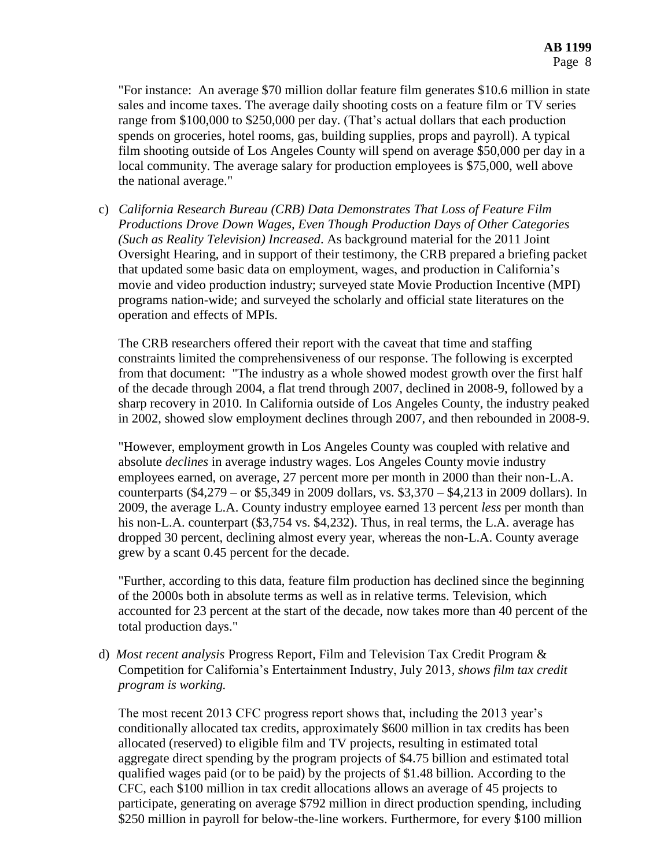"For instance: An average \$70 million dollar feature film generates \$10.6 million in state sales and income taxes. The average daily shooting costs on a feature film or TV series range from \$100,000 to \$250,000 per day. (That's actual dollars that each production spends on groceries, hotel rooms, gas, building supplies, props and payroll). A typical film shooting outside of Los Angeles County will spend on average \$50,000 per day in a local community. The average salary for production employees is \$75,000, well above the national average."

c) *California Research Bureau (CRB) Data Demonstrates That Loss of Feature Film Productions Drove Down Wages, Even Though Production Days of Other Categories (Such as Reality Television) Increased*. As background material for the 2011 Joint Oversight Hearing, and in support of their testimony, the CRB prepared a briefing packet that updated some basic data on employment, wages, and production in California's movie and video production industry; surveyed state Movie Production Incentive (MPI) programs nation-wide; and surveyed the scholarly and official state literatures on the operation and effects of MPIs.

The CRB researchers offered their report with the caveat that time and staffing constraints limited the comprehensiveness of our response. The following is excerpted from that document: "The industry as a whole showed modest growth over the first half of the decade through 2004, a flat trend through 2007, declined in 2008-9, followed by a sharp recovery in 2010. In California outside of Los Angeles County, the industry peaked in 2002, showed slow employment declines through 2007, and then rebounded in 2008-9.

"However, employment growth in Los Angeles County was coupled with relative and absolute *declines* in average industry wages. Los Angeles County movie industry employees earned, on average, 27 percent more per month in 2000 than their non-L.A. counterparts (\$4,279 – or \$5,349 in 2009 dollars, vs. \$3,370 – \$4,213 in 2009 dollars). In 2009, the average L.A. County industry employee earned 13 percent *less* per month than his non-L.A. counterpart (\$3,754 vs. \$4,232). Thus, in real terms, the L.A. average has dropped 30 percent, declining almost every year, whereas the non-L.A. County average grew by a scant 0.45 percent for the decade.

"Further, according to this data, feature film production has declined since the beginning of the 2000s both in absolute terms as well as in relative terms. Television, which accounted for 23 percent at the start of the decade, now takes more than 40 percent of the total production days."

d) *Most recent analysis* Progress Report, Film and Television Tax Credit Program & Competition for California's Entertainment Industry, July 2013*, shows film tax credit program is working.*

The most recent 2013 CFC progress report shows that, including the 2013 year's conditionally allocated tax credits, approximately \$600 million in tax credits has been allocated (reserved) to eligible film and TV projects, resulting in estimated total aggregate direct spending by the program projects of \$4.75 billion and estimated total qualified wages paid (or to be paid) by the projects of \$1.48 billion. According to the CFC, each \$100 million in tax credit allocations allows an average of 45 projects to participate, generating on average \$792 million in direct production spending, including \$250 million in payroll for below-the-line workers. Furthermore, for every \$100 million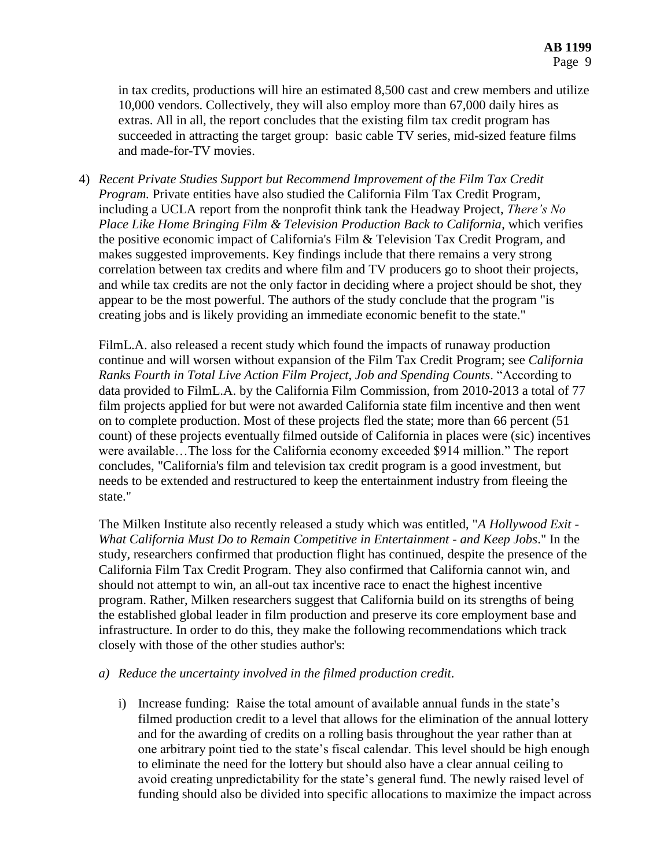in tax credits, productions will hire an estimated 8,500 cast and crew members and utilize 10,000 vendors. Collectively, they will also employ more than 67,000 daily hires as extras. All in all, the report concludes that the existing film tax credit program has succeeded in attracting the target group: basic cable TV series, mid-sized feature films and made-for-TV movies.

4) *Recent Private Studies Support but Recommend Improvement of the Film Tax Credit Program.* Private entities have also studied the California Film Tax Credit Program, including a UCLA report from the nonprofit think tank the Headway Project, *There's No Place Like Home Bringing Film & Television Production Back to California*, which verifies the positive economic impact of California's Film & Television Tax Credit Program, and makes suggested improvements. Key findings include that there remains a very strong correlation between tax credits and where film and TV producers go to shoot their projects, and while tax credits are not the only factor in deciding where a project should be shot, they appear to be the most powerful. The authors of the study conclude that the program "is creating jobs and is likely providing an immediate economic benefit to the state."

FilmL.A. also released a recent study which found the impacts of runaway production continue and will worsen without expansion of the Film Tax Credit Program; see *California Ranks Fourth in Total Live Action Film Project, Job and Spending Counts*. "According to data provided to FilmL.A. by the California Film Commission, from 2010-2013 a total of 77 film projects applied for but were not awarded California state film incentive and then went on to complete production. Most of these projects fled the state; more than 66 percent (51 count) of these projects eventually filmed outside of California in places were (sic) incentives were available…The loss for the California economy exceeded \$914 million." The report concludes, "California's film and television tax credit program is a good investment, but needs to be extended and restructured to keep the entertainment industry from fleeing the state."

The Milken Institute also recently released a study which was entitled, "*A Hollywood Exit - What California Must Do to Remain Competitive in Entertainment - and Keep Jobs*." In the study, researchers confirmed that production flight has continued, despite the presence of the California Film Tax Credit Program. They also confirmed that California cannot win, and should not attempt to win, an all-out tax incentive race to enact the highest incentive program. Rather, Milken researchers suggest that California build on its strengths of being the established global leader in film production and preserve its core employment base and infrastructure. In order to do this, they make the following recommendations which track closely with those of the other studies author's:

### *a) Reduce the uncertainty involved in the filmed production credit.*

i) Increase funding: Raise the total amount of available annual funds in the state's filmed production credit to a level that allows for the elimination of the annual lottery and for the awarding of credits on a rolling basis throughout the year rather than at one arbitrary point tied to the state's fiscal calendar. This level should be high enough to eliminate the need for the lottery but should also have a clear annual ceiling to avoid creating unpredictability for the state's general fund. The newly raised level of funding should also be divided into specific allocations to maximize the impact across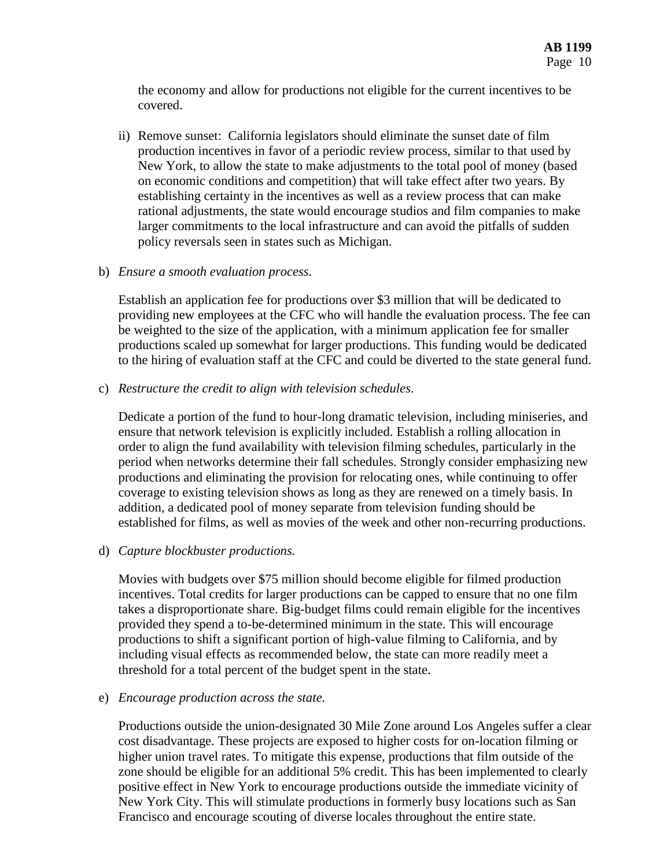the economy and allow for productions not eligible for the current incentives to be covered.

ii) Remove sunset: California legislators should eliminate the sunset date of film production incentives in favor of a periodic review process, similar to that used by New York, to allow the state to make adjustments to the total pool of money (based on economic conditions and competition) that will take effect after two years. By establishing certainty in the incentives as well as a review process that can make rational adjustments, the state would encourage studios and film companies to make larger commitments to the local infrastructure and can avoid the pitfalls of sudden policy reversals seen in states such as Michigan.

#### b) *Ensure a smooth evaluation process.*

Establish an application fee for productions over \$3 million that will be dedicated to providing new employees at the CFC who will handle the evaluation process. The fee can be weighted to the size of the application, with a minimum application fee for smaller productions scaled up somewhat for larger productions. This funding would be dedicated to the hiring of evaluation staff at the CFC and could be diverted to the state general fund.

c) *Restructure the credit to align with television schedules.*

Dedicate a portion of the fund to hour-long dramatic television, including miniseries, and ensure that network television is explicitly included. Establish a rolling allocation in order to align the fund availability with television filming schedules, particularly in the period when networks determine their fall schedules. Strongly consider emphasizing new productions and eliminating the provision for relocating ones, while continuing to offer coverage to existing television shows as long as they are renewed on a timely basis. In addition, a dedicated pool of money separate from television funding should be established for films, as well as movies of the week and other non-recurring productions.

### d) *Capture blockbuster productions.*

Movies with budgets over \$75 million should become eligible for filmed production incentives. Total credits for larger productions can be capped to ensure that no one film takes a disproportionate share. Big-budget films could remain eligible for the incentives provided they spend a to-be-determined minimum in the state. This will encourage productions to shift a significant portion of high-value filming to California, and by including visual effects as recommended below, the state can more readily meet a threshold for a total percent of the budget spent in the state.

#### e) *Encourage production across the state.*

Productions outside the union-designated 30 Mile Zone around Los Angeles suffer a clear cost disadvantage. These projects are exposed to higher costs for on-location filming or higher union travel rates. To mitigate this expense, productions that film outside of the zone should be eligible for an additional 5% credit. This has been implemented to clearly positive effect in New York to encourage productions outside the immediate vicinity of New York City. This will stimulate productions in formerly busy locations such as San Francisco and encourage scouting of diverse locales throughout the entire state.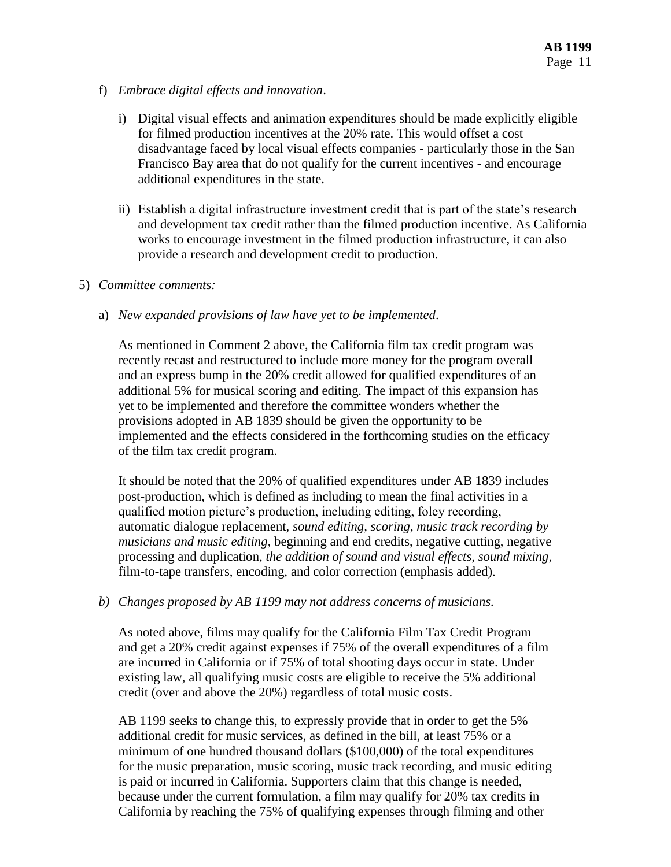- f) *Embrace digital effects and innovation*.
	- i) Digital visual effects and animation expenditures should be made explicitly eligible for filmed production incentives at the 20% rate. This would offset a cost disadvantage faced by local visual effects companies - particularly those in the San Francisco Bay area that do not qualify for the current incentives - and encourage additional expenditures in the state.
	- ii) Establish a digital infrastructure investment credit that is part of the state's research and development tax credit rather than the filmed production incentive. As California works to encourage investment in the filmed production infrastructure, it can also provide a research and development credit to production.

#### 5) *Committee comments:*

a) *New expanded provisions of law have yet to be implemented*.

As mentioned in Comment 2 above, the California film tax credit program was recently recast and restructured to include more money for the program overall and an express bump in the 20% credit allowed for qualified expenditures of an additional 5% for musical scoring and editing. The impact of this expansion has yet to be implemented and therefore the committee wonders whether the provisions adopted in AB 1839 should be given the opportunity to be implemented and the effects considered in the forthcoming studies on the efficacy of the film tax credit program.

It should be noted that the 20% of qualified expenditures under AB 1839 includes post-production, which is defined as including to mean the final activities in a qualified motion picture's production, including editing, foley recording, automatic dialogue replacement, *sound editing, scoring, music track recording by musicians and music editing*, beginning and end credits, negative cutting, negative processing and duplication, *the addition of sound and visual effects, sound mixing*, film-to-tape transfers, encoding, and color correction (emphasis added).

#### *b) Changes proposed by AB 1199 may not address concerns of musicians.*

As noted above, films may qualify for the California Film Tax Credit Program and get a 20% credit against expenses if 75% of the overall expenditures of a film are incurred in California or if 75% of total shooting days occur in state. Under existing law, all qualifying music costs are eligible to receive the 5% additional credit (over and above the 20%) regardless of total music costs.

AB 1199 seeks to change this, to expressly provide that in order to get the 5% additional credit for music services, as defined in the bill, at least 75% or a minimum of one hundred thousand dollars (\$100,000) of the total expenditures for the music preparation, music scoring, music track recording, and music editing is paid or incurred in California. Supporters claim that this change is needed, because under the current formulation, a film may qualify for 20% tax credits in California by reaching the 75% of qualifying expenses through filming and other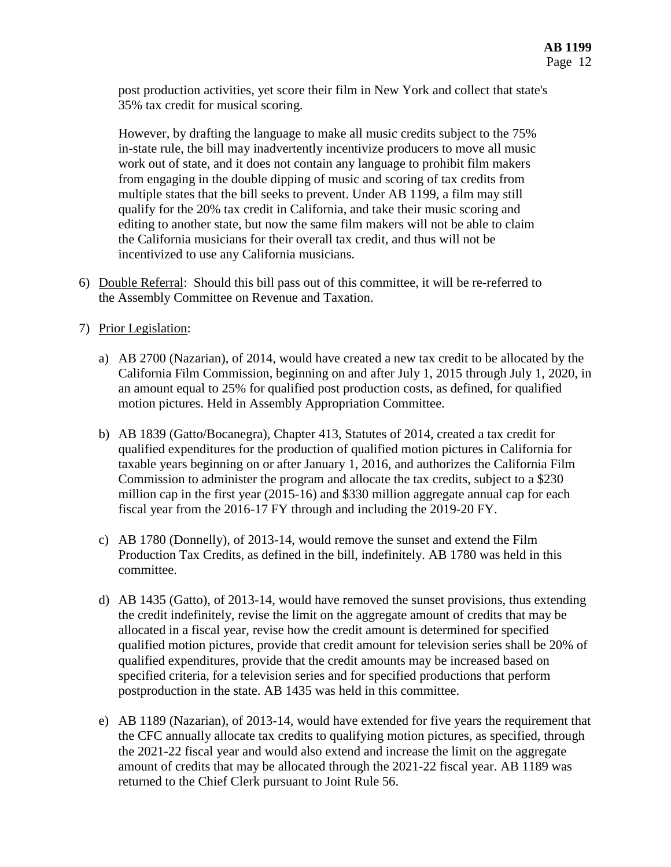post production activities, yet score their film in New York and collect that state's 35% tax credit for musical scoring.

However, by drafting the language to make all music credits subject to the 75% in-state rule, the bill may inadvertently incentivize producers to move all music work out of state, and it does not contain any language to prohibit film makers from engaging in the double dipping of music and scoring of tax credits from multiple states that the bill seeks to prevent. Under AB 1199, a film may still qualify for the 20% tax credit in California, and take their music scoring and editing to another state, but now the same film makers will not be able to claim the California musicians for their overall tax credit, and thus will not be incentivized to use any California musicians.

- 6) Double Referral: Should this bill pass out of this committee, it will be re-referred to the Assembly Committee on Revenue and Taxation.
- 7) Prior Legislation:
	- a) AB 2700 (Nazarian), of 2014, would have created a new tax credit to be allocated by the California Film Commission, beginning on and after July 1, 2015 through July 1, 2020, in an amount equal to 25% for qualified post production costs, as defined, for qualified motion pictures. Held in Assembly Appropriation Committee.
	- b) AB 1839 (Gatto/Bocanegra), Chapter 413, Statutes of 2014, created a tax credit for qualified expenditures for the production of qualified motion pictures in California for taxable years beginning on or after January 1, 2016, and authorizes the California Film Commission to administer the program and allocate the tax credits, subject to a \$230 million cap in the first year (2015-16) and \$330 million aggregate annual cap for each fiscal year from the 2016-17 FY through and including the 2019-20 FY.
	- c) AB 1780 (Donnelly), of 2013-14, would remove the sunset and extend the Film Production Tax Credits, as defined in the bill, indefinitely. AB 1780 was held in this committee.
	- d) AB 1435 (Gatto), of 2013-14, would have removed the sunset provisions, thus extending the credit indefinitely, revise the limit on the aggregate amount of credits that may be allocated in a fiscal year, revise how the credit amount is determined for specified qualified motion pictures, provide that credit amount for television series shall be 20% of qualified expenditures, provide that the credit amounts may be increased based on specified criteria, for a television series and for specified productions that perform postproduction in the state. AB 1435 was held in this committee.
	- e) AB 1189 (Nazarian), of 2013-14, would have extended for five years the requirement that the CFC annually allocate tax credits to qualifying motion pictures, as specified, through the 2021-22 fiscal year and would also extend and increase the limit on the aggregate amount of credits that may be allocated through the 2021-22 fiscal year. AB 1189 was returned to the Chief Clerk pursuant to Joint Rule 56.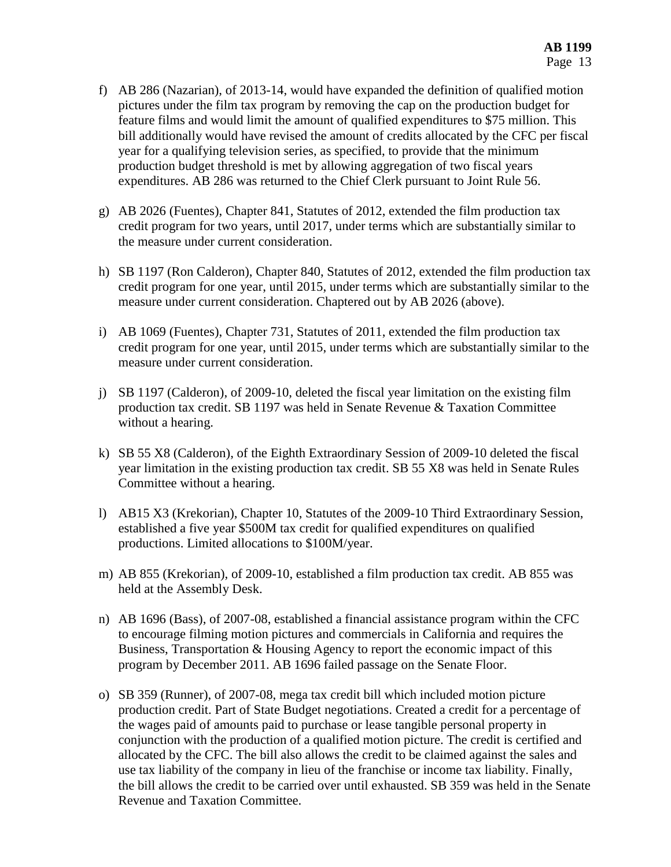- f) AB 286 (Nazarian), of 2013-14, would have expanded the definition of qualified motion pictures under the film tax program by removing the cap on the production budget for feature films and would limit the amount of qualified expenditures to \$75 million. This bill additionally would have revised the amount of credits allocated by the CFC per fiscal year for a qualifying television series, as specified, to provide that the minimum production budget threshold is met by allowing aggregation of two fiscal years expenditures. AB 286 was returned to the Chief Clerk pursuant to Joint Rule 56.
- g) AB 2026 (Fuentes), Chapter 841, Statutes of 2012, extended the film production tax credit program for two years, until 2017, under terms which are substantially similar to the measure under current consideration.
- h) SB 1197 (Ron Calderon), Chapter 840, Statutes of 2012, extended the film production tax credit program for one year, until 2015, under terms which are substantially similar to the measure under current consideration. Chaptered out by AB 2026 (above).
- i) AB 1069 (Fuentes), Chapter 731, Statutes of 2011, extended the film production tax credit program for one year, until 2015, under terms which are substantially similar to the measure under current consideration.
- j) SB 1197 (Calderon), of 2009-10, deleted the fiscal year limitation on the existing film production tax credit. SB 1197 was held in Senate Revenue & Taxation Committee without a hearing.
- k) SB 55 X8 (Calderon), of the Eighth Extraordinary Session of 2009-10 deleted the fiscal year limitation in the existing production tax credit. SB 55 X8 was held in Senate Rules Committee without a hearing.
- l) AB15 X3 (Krekorian), Chapter 10, Statutes of the 2009-10 Third Extraordinary Session, established a five year \$500M tax credit for qualified expenditures on qualified productions. Limited allocations to \$100M/year.
- m) AB 855 (Krekorian), of 2009-10, established a film production tax credit. AB 855 was held at the Assembly Desk.
- n) AB 1696 (Bass), of 2007-08, established a financial assistance program within the CFC to encourage filming motion pictures and commercials in California and requires the Business, Transportation & Housing Agency to report the economic impact of this program by December 2011. AB 1696 failed passage on the Senate Floor.
- o) SB 359 (Runner), of 2007-08, mega tax credit bill which included motion picture production credit. Part of State Budget negotiations. Created a credit for a percentage of the wages paid of amounts paid to purchase or lease tangible personal property in conjunction with the production of a qualified motion picture. The credit is certified and allocated by the CFC. The bill also allows the credit to be claimed against the sales and use tax liability of the company in lieu of the franchise or income tax liability. Finally, the bill allows the credit to be carried over until exhausted. SB 359 was held in the Senate Revenue and Taxation Committee.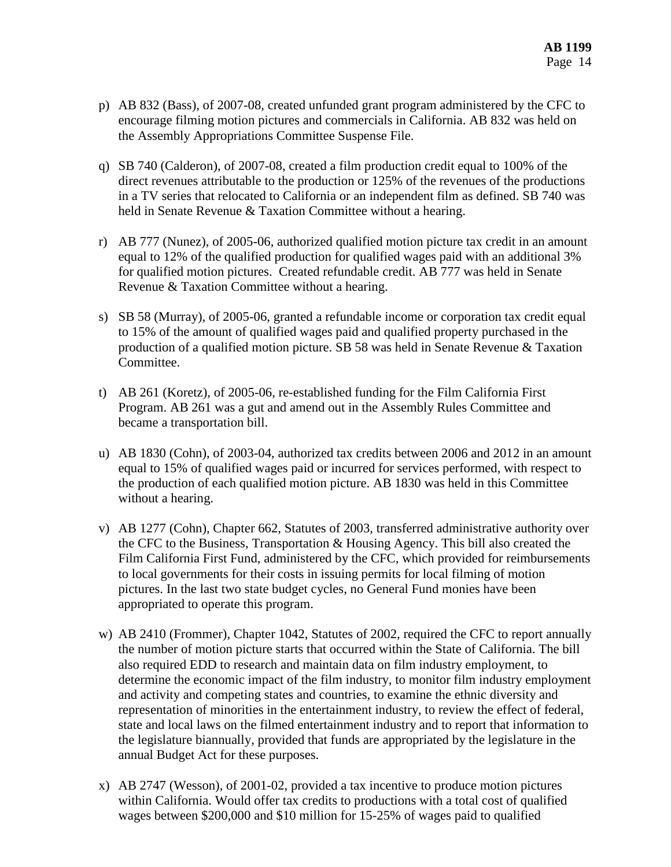- p) AB 832 (Bass), of 2007-08, created unfunded grant program administered by the CFC to encourage filming motion pictures and commercials in California. AB 832 was held on the Assembly Appropriations Committee Suspense File.
- q) SB 740 (Calderon), of 2007-08, created a film production credit equal to 100% of the direct revenues attributable to the production or 125% of the revenues of the productions in a TV series that relocated to California or an independent film as defined. SB 740 was held in Senate Revenue & Taxation Committee without a hearing.
- r) AB 777 (Nunez), of 2005-06, authorized qualified motion picture tax credit in an amount equal to 12% of the qualified production for qualified wages paid with an additional 3% for qualified motion pictures. Created refundable credit. AB 777 was held in Senate Revenue & Taxation Committee without a hearing.
- s) SB 58 (Murray), of 2005-06, granted a refundable income or corporation tax credit equal to 15% of the amount of qualified wages paid and qualified property purchased in the production of a qualified motion picture. SB 58 was held in Senate Revenue & Taxation Committee.
- t) AB 261 (Koretz), of 2005-06, re-established funding for the Film California First Program. AB 261 was a gut and amend out in the Assembly Rules Committee and became a transportation bill.
- u) AB 1830 (Cohn), of 2003-04, authorized tax credits between 2006 and 2012 in an amount equal to 15% of qualified wages paid or incurred for services performed, with respect to the production of each qualified motion picture. AB 1830 was held in this Committee without a hearing.
- v) AB 1277 (Cohn), Chapter 662, Statutes of 2003, transferred administrative authority over the CFC to the Business, Transportation & Housing Agency. This bill also created the Film California First Fund, administered by the CFC, which provided for reimbursements to local governments for their costs in issuing permits for local filming of motion pictures. In the last two state budget cycles, no General Fund monies have been appropriated to operate this program.
- w) AB 2410 (Frommer), Chapter 1042, Statutes of 2002, required the CFC to report annually the number of motion picture starts that occurred within the State of California. The bill also required EDD to research and maintain data on film industry employment, to determine the economic impact of the film industry, to monitor film industry employment and activity and competing states and countries, to examine the ethnic diversity and representation of minorities in the entertainment industry, to review the effect of federal, state and local laws on the filmed entertainment industry and to report that information to the legislature biannually, provided that funds are appropriated by the legislature in the annual Budget Act for these purposes.
- x) AB 2747 (Wesson), of 2001-02, provided a tax incentive to produce motion pictures within California. Would offer tax credits to productions with a total cost of qualified wages between \$200,000 and \$10 million for 15-25% of wages paid to qualified